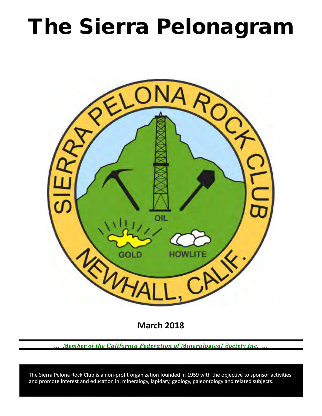# The Sierra Pelonagram



**March 2018**

*… Member of the California Federation of Mineralogical Society Inc. …*

 and promote interest and education in: mineralogy, lapidary, geology, paleontology and related subjects. The Sierra Pelona Rock Club is a non-profit organization founded in 1959 with the objective to sponsor activities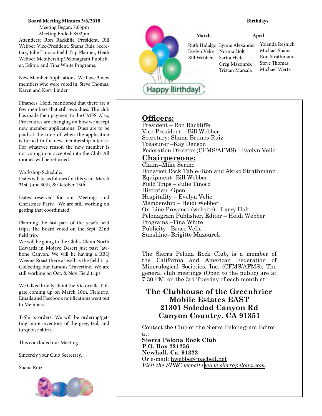### **Board Meeting Minutes 3/6/2018**

Meeting Began: 7:03pm Meeting Ended: 8:02pm Attendees: Ron Rackliffe President, Bill Webber Vice-President, Shana Ruiz Secretary, Julie Tinoco Field Trip Planner, Heidi Webber Membership/Pelonagram Publisher, Editor, and Tina White Programs.

New Member Applications: We have 3 new members who were voted in. Steve Thomas, Karen and Kory Linder.

Finances: Heidi mentioned that there are a few members that still owe dues. The club has made their payment to the CMFS. Also, Procedures are changing on how we accept new member applications. Dues are to be paid at the time of when the application is turned in for new membership interest. For whatever reason the new member is not voting in or accepted into the Club. All monies will be returned.

Workshop Schedule:

Dates will be as follows for this year- March 31st, June 30th, & October 13th.

Dates reserved for our Meetings and Christmas Party. We are still working on getting that coordinated.

Planning the last part of the year's field trips; The Board voted on the Sept. 22nd field trip.

We will be going to the Club's Claim North Edwards in Mojave Desert just past Jawbone Canyon. We will be having a BBQ Weenie Roast there as well as the field trip. Collecting our famous Travertine. We are still working on Oct. & Nov. Field trips.

We talked briefly about the Victorville Tailgate coming up on March 10th. Fieldtrip. Emails and Facebook notifications went out to Members.

T-Shirts orders: We will be ordering/getting more inventory of the grey, teal, and turquoise shirts.

This concluded our Meeting.

Sincerely your Club Secretary,

Shana Ruiz





#### **Birthdays**

**March April**

Norma Holt Sarita Hyde Greg Mazourek Tristan Marsala Evelyn Velie Bill Webber

Ruth Hidalgo Lynne Alexander Yolanda Resnick Michael Shane Ron Strathmann Steve Thomas Michael Wertz

## **Officers:**

President – Ron Rackliffe Vice‑President – Bill Webber Secretary: Shana Brunes-Ruiz Treasurer –Kay Denson Federation Director (CFMS/AFMS) --Evelyn Velie

## **Chairpersons:**

Claim--Mike Serino Donation Rock Table--Ron and Akiko Strathmann Equipment--Bill Webber Field Trips – Julie Tinoco Historian ‑Open Hospitality – Evelyn Velie Membership – Heidi Webber On-Line Presence (website)-- Larry Holt Pelonagram Publisher, Editor – Heidi Webber Programs –Tina White Publicity –Bruce Velie Sunshine--Brigitte Mazourek

The Sierra Pelona Rock Club, is a member of the California and American Federation of Mineralogical Societies, Inc. (CFMS/AFMS). The general club meetings (Open to the public) are at 7:30 PM, on the 3rd Tuesday of each month at:

# **The Clubhouse of the Greenbrier Mobile Estates EAST 21301 Soledad Canyon Rd Canyon Country, CA 91351**

Contact the Club or the Sierra Pelonagram Editor at:

**Sierra Pelona Rock Club P.O. Box 221256 Newhall, Ca. 91322** Or e‑mail: hwebber@pacbell.net *Visit the SPRC website [www.sierrapelona.com](http://www.sierrapelona.com/)*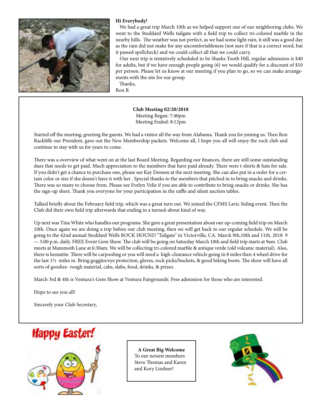

#### **Hi Everybody!**

 We had a great trip March 10th as we helped support one of our neighboring clubs. We went to the Stoddard Wells tailgate with a field trip to collect tri-colored marble in the nearby hills. The weather was not perfect, as we had some light rain, it still was a good day as the rain did not make for any uncomfortableness (not sure if that is a correct word, but it passed spellcheck) and we could collect all that we could carry.

 Our next trip is tentatively scheduled to be Sharks Tooth Hill, regular admission is \$40 for adults, but if we have enough people going (6) we would qualify for a discount of \$10 per person. Please let us know at our meeting if you plan to go, so we can make arrangements with the site for our group.

Thanks,

Ron R

**Club Meeting 02/20/2018** Meeting Began: 7:40pm Meeting Ended: 8:12pm

Started off the meeting, greeting the guests. We had a visitor all the way from Alabama. Thank you for joining us. Then Ron Rackliffe our President, gave out the New Membership packets. Welcome all, I hope you all will enjoy the rock club and continue to stay with us for years to come.

There was a overview of what went on at the last Board Meeting. Regarding our finances, there are still some outstanding dues that needs to get paid. Much appreciation to the members that have paid already. There were t-shirts & hats for sale. If you didn't get a chance to purchase one, please see Kay Denson at the next meeting. She can also put in a order for a certain color or size if she doesn't have it with her . Special thanks to the members that pitched in to bring snacks and drinks. There was so many to choose from. Please see Evelyn Velie if you are able to contribute to bring snacks or drinks. She has the sign-up sheet. Thank you everyone for your participation in the raffle and silent auction tables.

Talked briefly about the February field trip, which was a great turn out. We joined the CFMS Lavic Siding event. Then the Club did their own field trip afterwards that ending in a turned-about kind of way.

Up next was Tina White who handles our programs. She gave a great presentation about our up-coming field trip on March 10th. Once again we are doing a trip before our club meeting, then we will get back to our regular schedule. We will be going to the 42nd annual Stoddard Wells ROCK HOUND "Tailgate" in Victorville, CA. March 9th,10th and 11th, 2018 9 — 5:00 p.m. daily. FREE Event Gem Show. The club will be going on Saturday March 10th and field trip starts at 9am. Club meets at Mammoth Lane at 6:30am. We will be collecting tri-colored marble & antique verde (old volcanic material). Also, there is hematite. There will be carpooling or you will need a high-clearance vehicle going in 8 miles then 4 wheel drive for the last 1½ miles in. Bring goggles/eye protection, gloves, rock picks/buckets, & good hiking boots. The show will have all sorts of goodies- rough material, cabs, slabs, food, drinks, & prizes.

March 3rd & 4th is Ventura's Gem Show at Ventura Fairgrounds. Free admission for those who are interested.

Hope to see you all!

Sincerely your Club Secretary,





**A Great Big Welcome** To our newest members Steve Thomas and Karen and Kory Lindner!